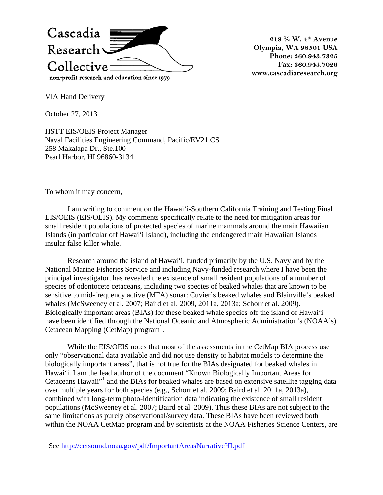

**218 ½ W. 4th Avenue Olympia, WA 98501 USA Phone: 360.943.7325 Fax: 360.943.7026 www.cascadiaresearch.org** 

VIA Hand Delivery

October 27, 2013

HSTT EIS/OEIS Project Manager Naval Facilities Engineering Command, Pacific/EV21.CS 258 Makalapa Dr., Ste.100 Pearl Harbor, HI 96860-3134

To whom it may concern,

 $\overline{a}$ 

I am writing to comment on the Hawai'i-Southern California Training and Testing Final EIS/OEIS (EIS/OEIS). My comments specifically relate to the need for mitigation areas for small resident populations of protected species of marine mammals around the main Hawaiian Islands (in particular off Hawai'i Island), including the endangered main Hawaiian Islands insular false killer whale.

Research around the island of Hawai'i, funded primarily by the U.S. Navy and by the National Marine Fisheries Service and including Navy-funded research where I have been the principal investigator, has revealed the existence of small resident populations of a number of species of odontocete cetaceans, including two species of beaked whales that are known to be sensitive to mid-frequency active (MFA) sonar: Cuvier's beaked whales and Blainville's beaked whales (McSweeney et al. 2007; Baird et al. 2009, 2011a, 2013a; Schorr et al. 2009). Biologically important areas (BIAs) for these beaked whale species off the island of Hawai'i have been identified through the National Oceanic and Atmospheric Administration's (NOAA's) Cetacean Mapping (CetMap) program<sup>1</sup>.

While the EIS/OEIS notes that most of the assessments in the CetMap BIA process use only "observational data available and did not use density or habitat models to determine the biologically important areas", that is not true for the BIAs designated for beaked whales in Hawai'i. I am the lead author of the document "Known Biologically Important Areas for Cetaceans Hawaii"<sup>1</sup> and the BIAs for beaked whales are based on extensive satellite tagging data over multiple years for both species (e.g., Schorr et al. 2009; Baird et al. 2011a, 2013a), combined with long-term photo-identification data indicating the existence of small resident populations (McSweeney et al. 2007; Baird et al. 2009). Thus these BIAs are not subject to the same limitations as purely observational/survey data. These BIAs have been reviewed both within the NOAA CetMap program and by scientists at the NOAA Fisheries Science Centers, are

<sup>&</sup>lt;sup>1</sup> See http://cetsound.noaa.gov/pdf/ImportantAreasNarrativeHI.pdf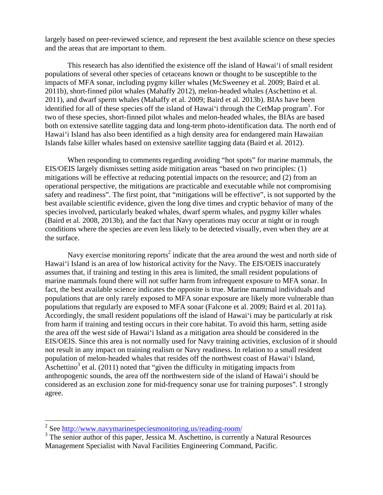largely based on peer-reviewed science, and represent the best available science on these species and the areas that are important to them.

This research has also identified the existence off the island of Hawai'i of small resident populations of several other species of cetaceans known or thought to be susceptible to the impacts of MFA sonar, including pygmy killer whales (McSweeney et al. 2009; Baird et al. 2011b), short-finned pilot whales (Mahaffy 2012), melon-headed whales (Aschettino et al. 2011), and dwarf sperm whales (Mahaffy et al. 2009; Baird et al. 2013b). BIAs have been identified for all of these species off the island of Hawai'i through the CetMap program<sup>1</sup>. For two of these species, short-finned pilot whales and melon-headed whales, the BIAs are based both on extensive satellite tagging data and long-term photo-identification data. The north end of Hawai'i Island has also been identified as a high density area for endangered main Hawaiian Islands false killer whales based on extensive satellite tagging data (Baird et al. 2012).

When responding to comments regarding avoiding "hot spots" for marine mammals, the EIS/OEIS largely dismisses setting aside mitigation areas "based on two principles: (1) mitigations will be effective at reducing potential impacts on the resource; and (2) from an operational perspective, the mitigations are practicable and executable while not compromising safety and readiness". The first point, that "mitigations will be effective", is not supported by the best available scientific evidence, given the long dive times and cryptic behavior of many of the species involved, particularly beaked whales, dwarf sperm whales, and pygmy killer whales (Baird et al. 2008, 2013b), and the fact that Navy operations may occur at night or in rough conditions where the species are even less likely to be detected visually, even when they are at the surface.

Navy exercise monitoring reports<sup>2</sup> indicate that the area around the west and north side of Hawai'i Island is an area of low historical activity for the Navy. The EIS/OEIS inaccurately assumes that, if training and testing in this area is limited, the small resident populations of marine mammals found there will not suffer harm from infrequent exposure to MFA sonar. In fact, the best available science indicates the opposite is true. Marine mammal individuals and populations that are only rarely exposed to MFA sonar exposure are likely more vulnerable than populations that regularly are exposed to MFA sonar (Falcone et al. 2009; Baird et al. 2011a). Accordingly, the small resident populations off the island of Hawai'i may be particularly at risk from harm if training and testing occurs in their core habitat. To avoid this harm, setting aside the area off the west side of Hawai'i Island as a mitigation area should be considered in the EIS/OEIS. Since this area is not normally used for Navy training activities, exclusion of it should not result in any impact on training realism or Navy readiness. In relation to a small resident population of melon-headed whales that resides off the northwest coast of Hawai'i Island, Aschettino<sup>3</sup> et al. (2011) noted that "given the difficulty in mitigating impacts from anthropogenic sounds, the area off the northwestern side of the island of Hawai'i should be considered as an exclusion zone for mid-frequency sonar use for training purposes". I strongly agree.

<sup>&</sup>lt;sup>2</sup> See http://www.navymarinespeciesmonitoring.us/reading-room/

<sup>&</sup>lt;sup>3</sup> The senior author of this paper, Jessica M. Aschettino, is currently a Natural Resources Management Specialist with Naval Facilities Engineering Command, Pacific.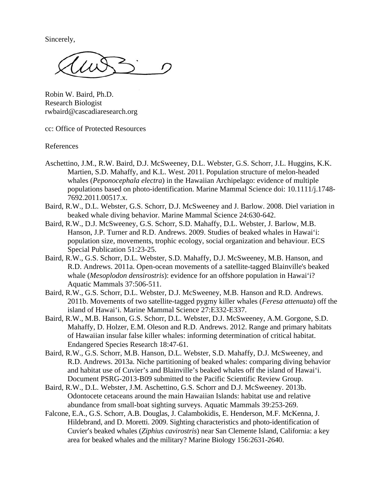Sincerely,

Robin W. Baird, Ph.D. Research Biologist rwbaird@cascadiaresearch.org

cc: Office of Protected Resources

References

- Aschettino, J.M., R.W. Baird, D.J. McSweeney, D.L. Webster, G.S. Schorr, J.L. Huggins, K.K. Martien, S.D. Mahaffy, and K.L. West. 2011. Population structure of melon-headed whales (*Peponocephala electra*) in the Hawaiian Archipelago: evidence of multiple populations based on photo-identification. Marine Mammal Science doi: 10.1111/j.1748- 7692.2011.00517.x.
- Baird, R.W., D.L. Webster, G.S. Schorr, D.J. McSweeney and J. Barlow. 2008. Diel variation in beaked whale diving behavior. Marine Mammal Science 24:630-642.
- Baird, R.W., D.J. McSweeney, G.S. Schorr, S.D. Mahaffy, D.L. Webster, J. Barlow, M.B. Hanson, J.P. Turner and R.D. Andrews. 2009. Studies of beaked whales in Hawai'i: population size, movements, trophic ecology, social organization and behaviour. ECS Special Publication 51:23-25.
- Baird, R.W., G.S. Schorr, D.L. Webster, S.D. Mahaffy, D.J. McSweeney, M.B. Hanson, and R.D. Andrews. 2011a. Open-ocean movements of a satellite-tagged Blainville's beaked whale (*Mesoplodon densirostris*): evidence for an offshore population in Hawai'i? Aquatic Mammals 37:506-511.
- Baird, R.W., G.S. Schorr, D.L. Webster, D.J. McSweeney, M.B. Hanson and R.D. Andrews. 2011b. Movements of two satellite-tagged pygmy killer whales (*Feresa attenuata*) off the island of Hawai'i. Marine Mammal Science 27:E332-E337.
- Baird, R.W., M.B. Hanson, G.S. Schorr, D.L. Webster, D.J. McSweeney, A.M. Gorgone, S.D. Mahaffy, D. Holzer, E.M. Oleson and R.D. Andrews. 2012. Range and primary habitats of Hawaiian insular false killer whales: informing determination of critical habitat. Endangered Species Research 18:47-61.
- Baird, R.W., G.S. Schorr, M.B. Hanson, D.L. Webster, S.D. Mahaffy, D.J. McSweeney, and R.D. Andrews. 2013a. Niche partitioning of beaked whales: comparing diving behavior and habitat use of Cuvier's and Blainville's beaked whales off the island of Hawai'i. Document PSRG-2013-B09 submitted to the Pacific Scientific Review Group.
- Baird, R.W., D.L. Webster, J.M. Aschettino, G.S. Schorr and D.J. McSweeney. 2013b. Odontocete cetaceans around the main Hawaiian Islands: habitat use and relative abundance from small-boat sighting surveys. Aquatic Mammals 39:253-269.
- Falcone, E.A., G.S. Schorr, A.B. Douglas, J. Calambokidis, E. Henderson, M.F. McKenna, J. Hildebrand, and D. Moretti. 2009. Sighting characteristics and photo-identification of Cuvier's beaked whales (*Ziphius cavirostris*) near San Clemente Island, California: a key area for beaked whales and the military? Marine Biology 156:2631-2640.